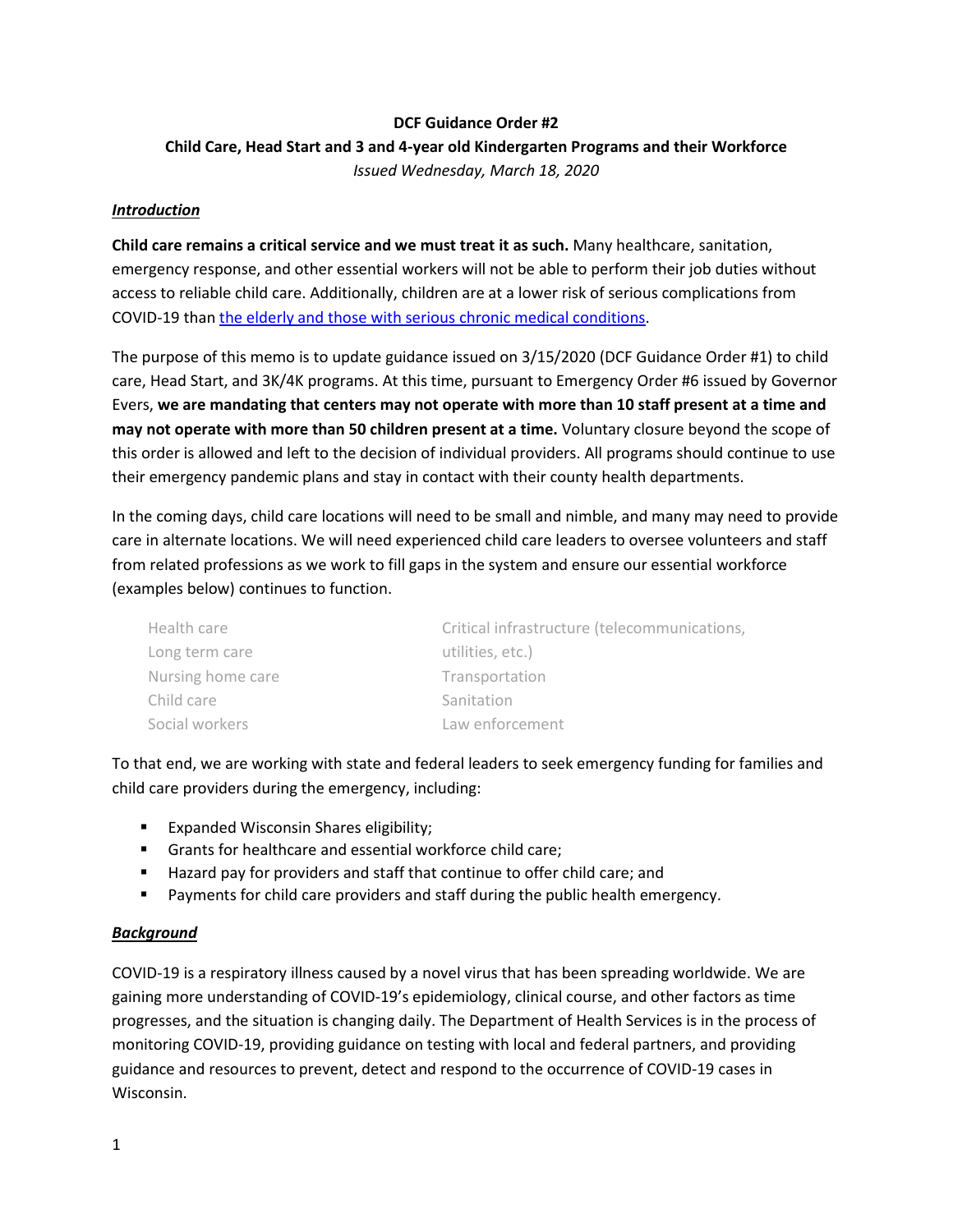#### **DCF Guidance Order #2**

# **Child Care, Head Start and 3 and 4-year old Kindergarten Programs and their Workforce** *Issued Wednesday, March 18, 2020*

#### *Introduction*

**Child care remains a critical service and we must treat it as such.** Many healthcare, sanitation, emergency response, and other essential workers will not be able to perform their job duties without access to reliable child care. Additionally, children are at a lower risk of serious complications from COVID-19 than [the elderly and those with serious chronic medical conditions.](https://www.cdc.gov/coronavirus/2019-ncov/specific-groups/high-risk-complications.html)

The purpose of this memo is to update guidance issued on 3/15/2020 (DCF Guidance Order #1) to child care, Head Start, and 3K/4K programs. At this time, pursuant to Emergency Order #6 issued by Governor Evers, **we are mandating that centers may not operate with more than 10 staff present at a time and may not operate with more than 50 children present at a time.** Voluntary closure beyond the scope of this order is allowed and left to the decision of individual providers. All programs should continue to use their emergency pandemic plans and stay in contact with their county health departments.

In the coming days, child care locations will need to be small and nimble, and many may need to provide care in alternate locations. We will need experienced child care leaders to oversee volunteers and staff from related professions as we work to fill gaps in the system and ensure our essential workforce (examples below) continues to function.

| Health care       | Critical infrastructure (telecommunications, |
|-------------------|----------------------------------------------|
| Long term care    | utilities, etc.)                             |
| Nursing home care | Transportation                               |
| Child care        | Sanitation                                   |
| Social workers    | Law enforcement                              |

To that end, we are working with state and federal leaders to seek emergency funding for families and child care providers during the emergency, including:

- **Expanded Wisconsin Shares eligibility;**
- Grants for healthcare and essential workforce child care;
- **Hazard pay for providers and staff that continue to offer child care; and**
- Payments for child care providers and staff during the public health emergency.

#### *Background*

COVID-19 is a respiratory illness caused by a novel virus that has been spreading worldwide. We are gaining more understanding of COVID-19's epidemiology, clinical course, and other factors as time progresses, and the situation is changing daily. The Department of Health Services is in the process of monitoring COVID-19, providing guidance on testing with local and federal partners, and providing guidance and resources to prevent, detect and respond to the occurrence of COVID-19 cases in Wisconsin.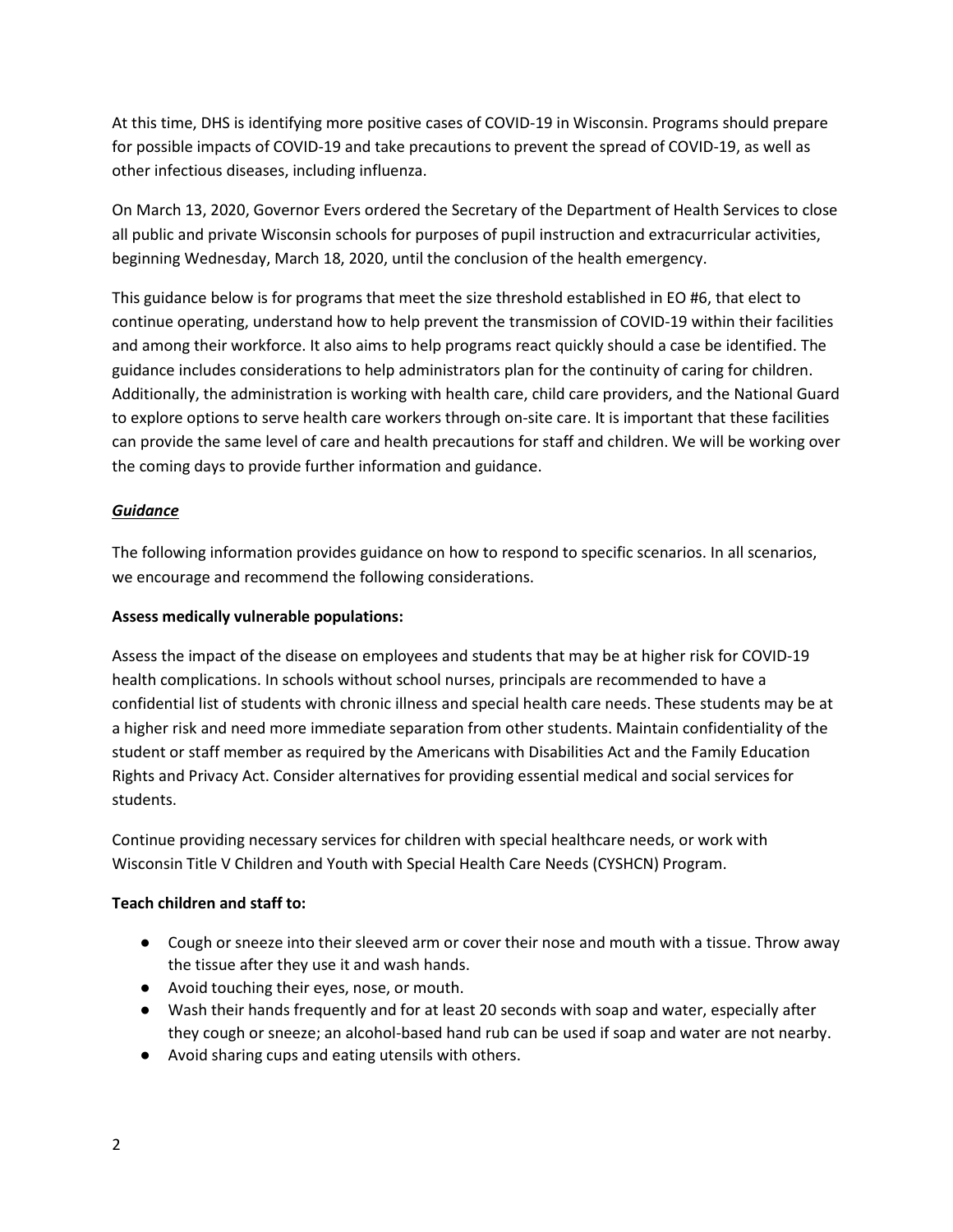At this time, DHS is identifying more positive cases of COVID-19 in Wisconsin. Programs should prepare for possible impacts of COVID-19 and take precautions to prevent the spread of COVID-19, as well as other infectious diseases, including influenza.

On March 13, 2020, Governor Evers ordered the Secretary of the Department of Health Services to close all public and private Wisconsin schools for purposes of pupil instruction and extracurricular activities, beginning Wednesday, March 18, 2020, until the conclusion of the health emergency.

This guidance below is for programs that meet the size threshold established in EO #6, that elect to continue operating, understand how to help prevent the transmission of COVID-19 within their facilities and among their workforce. It also aims to help programs react quickly should a case be identified. The guidance includes considerations to help administrators plan for the continuity of caring for children. Additionally, the administration is working with health care, child care providers, and the National Guard to explore options to serve health care workers through on-site care. It is important that these facilities can provide the same level of care and health precautions for staff and children. We will be working over the coming days to provide further information and guidance.

# *Guidance*

The following information provides guidance on how to respond to specific scenarios. In all scenarios, we encourage and recommend the following considerations.

#### **Assess medically vulnerable populations:**

Assess the impact of the disease on employees and students that may be at higher risk for COVID-19 health complications. In schools without school nurses, principals are recommended to have a confidential list of students with chronic illness and special health care needs. These students may be at a higher risk and need more immediate separation from other students. Maintain confidentiality of the student or staff member as required by the Americans with Disabilities Act and the Family Education Rights and Privacy Act. Consider alternatives for providing essential medical and social services for students.

Continue providing necessary services for children with special healthcare needs, or work with Wisconsin Title V Children and Youth with Special Health Care Needs (CYSHCN) Program.

#### **Teach children and staff to:**

- Cough or sneeze into their sleeved arm or cover their nose and mouth with a tissue. Throw away the tissue after they use it and wash hands.
- Avoid touching their eyes, nose, or mouth.
- Wash their hands frequently and for at least 20 seconds with soap and water, especially after they cough or sneeze; an alcohol-based hand rub can be used if soap and water are not nearby.
- Avoid sharing cups and eating utensils with others.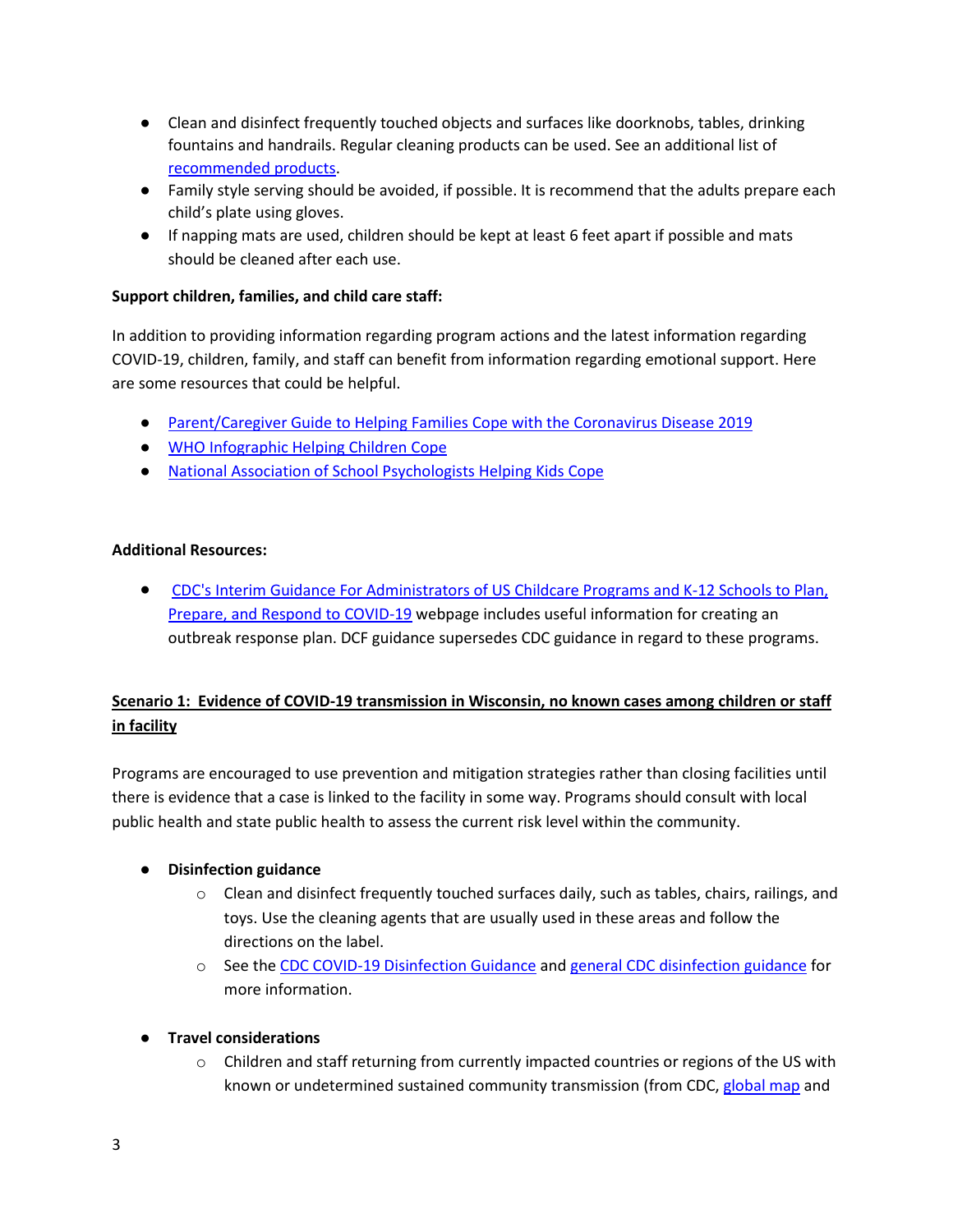- Clean and disinfect frequently touched objects and surfaces like doorknobs, tables, drinking fountains and handrails. Regular cleaning products can be used. See an additional list of [recommended products.](https://www.americanchemistry.com/Novel-Coronavirus-Fighting-Products-List.pdf)
- Family style serving should be avoided, if possible. It is recommend that the adults prepare each child's plate using gloves.
- If napping mats are used, children should be kept at least 6 feet apart if possible and mats should be cleaned after each use.

# **Support children, families, and child care staff:**

In addition to providing information regarding program actions and the latest information regarding COVID-19, children, family, and staff can benefit from information regarding emotional support. Here are some resources that could be helpful.

- [Parent/Caregiver Guide to Helping Families Cope with the Coronavirus Disease 2019](https://www.nctsn.org/resources/parent-caregiver-guide-to-helping-families-cope-with-the-coronavirus-disease-2019?utm_source=ebulletin&utm_medium=email&utm_campaign=nctsn-ebulletin)
- [WHO Infographic Helping Children Cope](https://www.who.int/docs/default-source/coronaviruse/helping-children-cope-with-stress-print.pdf?sfvrsn=f3a063ff_2)
- [National Association of School Psychologists Helping Kids Cope](https://www.nasponline.org/resources-and-publications/resources-and-podcasts/school-climate-safety-and-crisis/health-crisis-resources/talking-to-children-about-covid-19-(coronavirus)-a-parent-resource)

#### **Additional Resources:**

● [CDC's Interim Guidance For Administrators of US Childcare Programs and K-12 Schools to Plan,](https://www.cdc.gov/coronavirus/2019-ncov/specific-groups/guidance-for-schools.html)  [Prepare, and Respond to COVID-19](https://www.cdc.gov/coronavirus/2019-ncov/specific-groups/guidance-for-schools.html) webpage includes useful information for creating an outbreak response plan. DCF guidance supersedes CDC guidance in regard to these programs.

# **Scenario 1: Evidence of COVID-19 transmission in Wisconsin, no known cases among children or staff in facility**

Programs are encouraged to use prevention and mitigation strategies rather than closing facilities until there is evidence that a case is linked to the facility in some way. Programs should consult with local public health and state public health to assess the current risk level within the community.

# ● **Disinfection guidance**

- $\circ$  Clean and disinfect frequently touched surfaces daily, such as tables, chairs, railings, and toys. Use the cleaning agents that are usually used in these areas and follow the directions on the label.
- o See the [CDC COVID-19 Disinfection Guidance](https://www.cdc.gov/coronavirus/2019-ncov/community/organizations/cleaning-disinfection.html) an[d general CDC disinfection guidance](https://www.healthychildren.org/English/health-issues/conditions/prevention/Pages/Cleaners-Sanitizers-Disinfectants.aspx) for more information.
- **Travel considerations**
	- $\circ$  Children and staff returning from currently impacted countries or regions of the US with known or undetermined sustained community transmission (from CDC, [global map](https://www.cdc.gov/coronavirus/2019-ncov/locations-confirmed-cases.html) and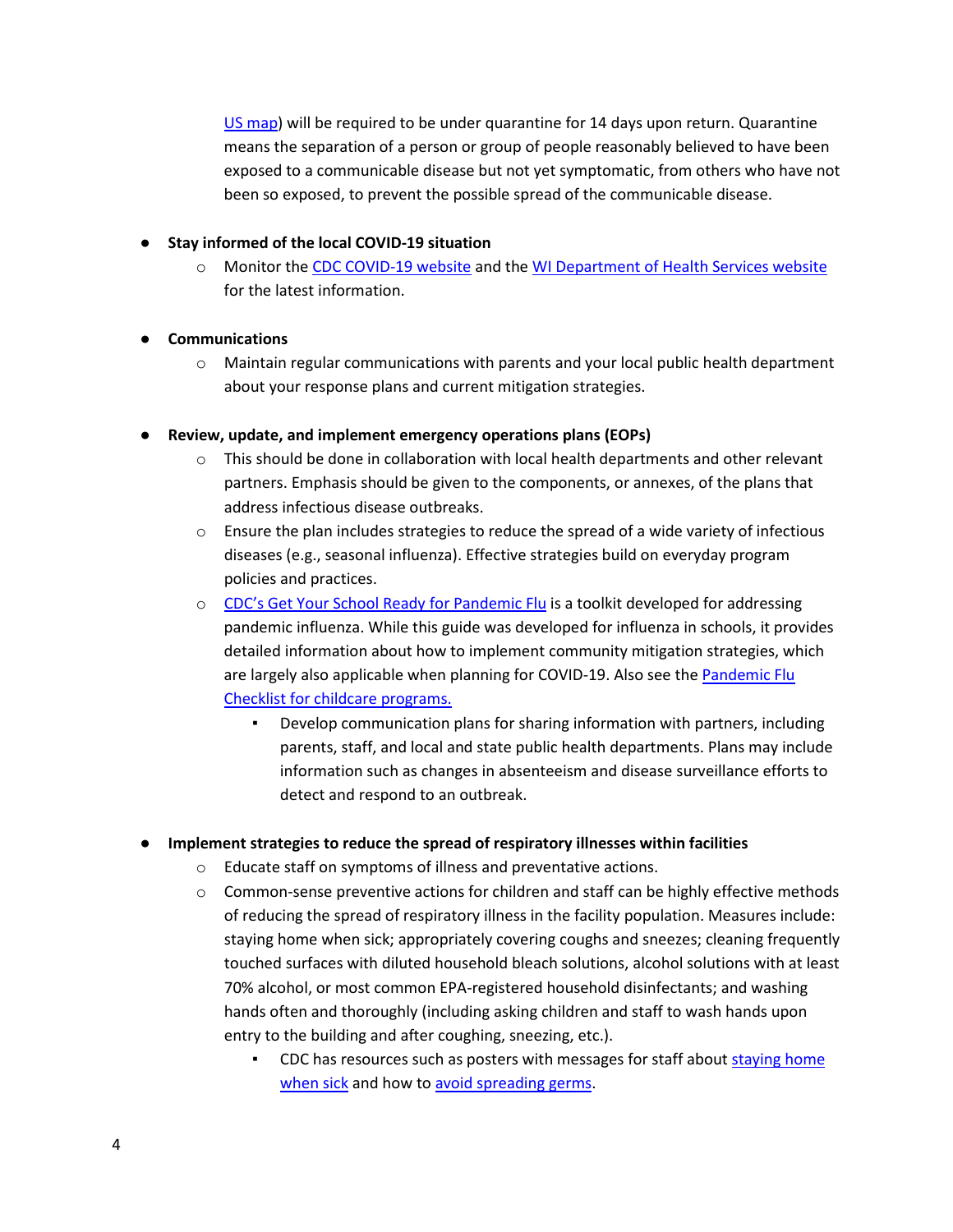[US map\)](https://www.cdc.gov/coronavirus/2019-ncov/cases-in-us.html) will be required to be under quarantine for 14 days upon return. Quarantine means the separation of a person or group of people reasonably believed to have been exposed to a communicable disease but not yet symptomatic, from others who have not been so exposed, to prevent the possible spread of the communicable disease.

#### ● **Stay informed of the local COVID-19 situation**

o Monitor th[e CDC COVID-19 website](https://www.cdc.gov/coronavirus/2019-nCoV/index.html) and the [WI Department of Health Services website](https://www.dhs.wisconsin.gov/disease/covid-19.htm) for the latest information.

# ● **Communications**

 $\circ$  Maintain regular communications with parents and your local public health department about your response plans and current mitigation strategies.

#### ● **Review, update, and implement emergency operations plans (EOPs)**

- $\circ$  This should be done in collaboration with local health departments and other relevant partners. Emphasis should be given to the components, or annexes, of the plans that address infectious disease outbreaks.
- $\circ$  Ensure the plan includes strategies to reduce the spread of a wide variety of infectious diseases (e.g., seasonal influenza). Effective strategies build on everyday program policies and practices.
- o [CDC's Get Your School Ready for Pandemic Flu](https://www.cdc.gov/nonpharmaceutical-interventions/pdf/gr-pan-flu-ed-set.pdf) is a toolkit developed for addressing pandemic influenza. While this guide was developed for influenza in schools, it provides detailed information about how to implement community mitigation strategies, which are largely also applicable when planning for COVID-19. Also see the Pandemic Flu [Checklist for childcare programs.](https://www.cdc.gov/nonpharmaceutical-interventions/pdf/pan-flu-checklist-childcare-program-administrators-item3.pdf)
	- Develop communication plans for sharing information with partners, including parents, staff, and local and state public health departments. Plans may include information such as changes in absenteeism and disease surveillance efforts to detect and respond to an outbreak.

# ● **Implement strategies to reduce the spread of respiratory illnesses within facilities**

- o Educate staff on symptoms of illness and preventative actions.
- $\circ$  Common-sense preventive actions for children and staff can be highly effective methods of reducing the spread of respiratory illness in the facility population. Measures include: staying home when sick; appropriately covering coughs and sneezes; cleaning frequently touched surfaces with diluted household bleach solutions, alcohol solutions with at least 70% alcohol, or most common EPA-registered household disinfectants; and washing hands often and thoroughly (including asking children and staff to wash hands upon entry to the building and after coughing, sneezing, etc.).
	- CDC has resources such as posters with messages for staff about staying home [when sick](https://www.cdc.gov/nonpharmaceutical-interventions/pdf/stay-home-youre-sick-employers-item4.pdf) and how to [avoid spreading germs.](https://www.cdc.gov/nonpharmaceutical-interventions/pdf/dont-spread-germs-work-item3.pdf)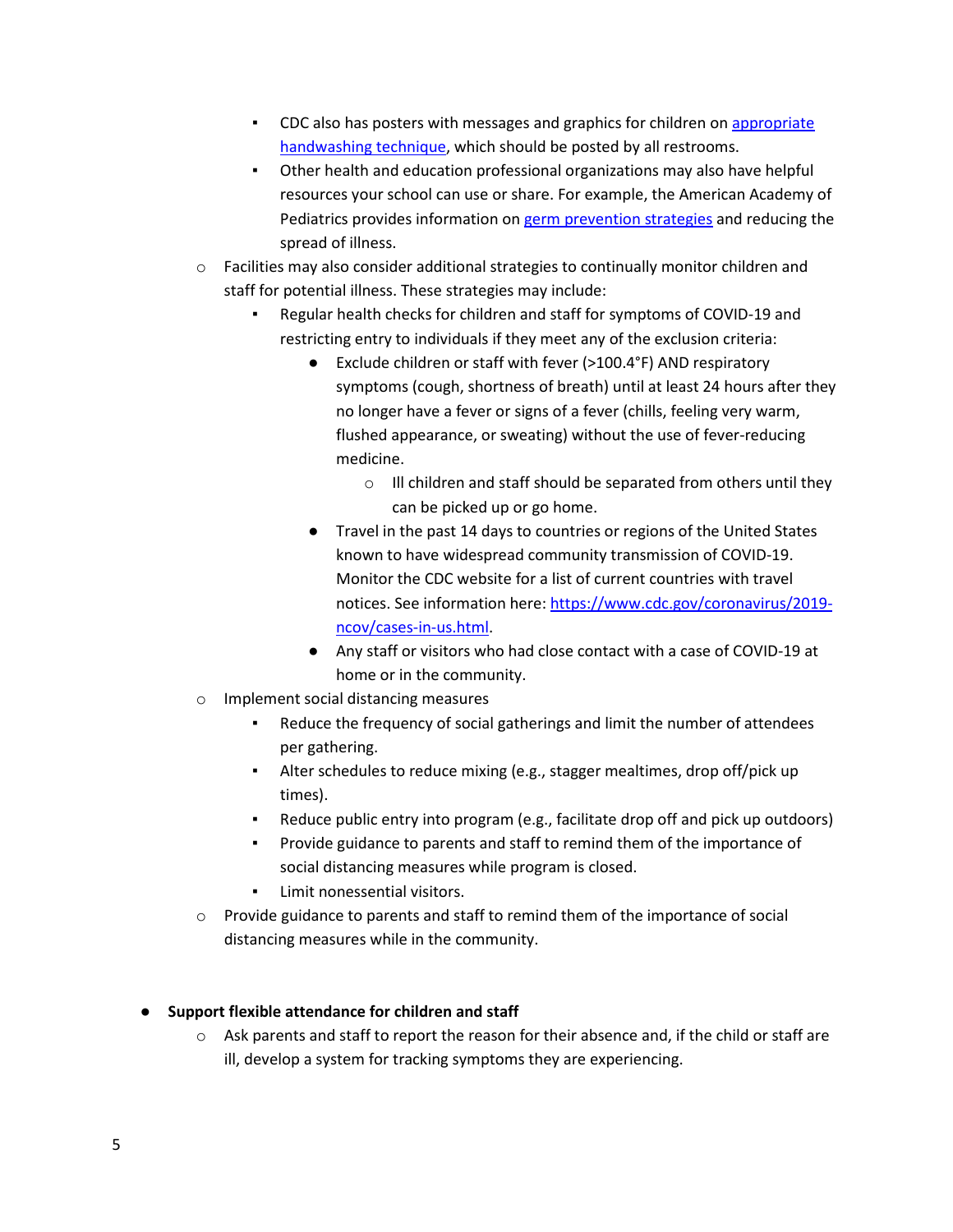- CDC also has posters with messages and graphics for children o[n appropriate](https://www.cdc.gov/handwashing/posters.html)  [handwashing technique,](https://www.cdc.gov/handwashing/posters.html) which should be posted by all restrooms.
- Other health and education professional organizations may also have helpful resources your school can use or share. For example, the American Academy of Pediatrics provides information on [germ prevention strategies](https://www.healthychildren.org/English/health-issues/conditions/prevention/Pages/Germ-Prevention-Strategies.aspx) and reducing the spread of illness.
- $\circ$  Facilities may also consider additional strategies to continually monitor children and staff for potential illness. These strategies may include:
	- Regular health checks for children and staff for symptoms of COVID-19 and restricting entry to individuals if they meet any of the exclusion criteria:
		- Exclude children or staff with fever (>100.4°F) AND respiratory symptoms (cough, shortness of breath) until at least 24 hours after they no longer have a fever or signs of a fever (chills, feeling very warm, flushed appearance, or sweating) without the use of fever-reducing medicine.
			- o Ill children and staff should be separated from others until they can be picked up or go home.
		- Travel in the past 14 days to countries or regions of the United States known to have widespread community transmission of COVID-19. Monitor the CDC website for a list of current countries with travel notices. See information here[: https://www.cdc.gov/coronavirus/2019](https://www.cdc.gov/coronavirus/2019-ncov/cases-in-us.html) [ncov/cases-in-us.html.](https://www.cdc.gov/coronavirus/2019-ncov/cases-in-us.html)
		- Any staff or visitors who had close contact with a case of COVID-19 at home or in the community.
- o Implement social distancing measures
	- Reduce the frequency of social gatherings and limit the number of attendees per gathering.
	- Alter schedules to reduce mixing (e.g., stagger mealtimes, drop off/pick up times).
	- Reduce public entry into program (e.g., facilitate drop off and pick up outdoors)
	- Provide guidance to parents and staff to remind them of the importance of social distancing measures while program is closed.
	- Limit nonessential visitors.
- $\circ$  Provide guidance to parents and staff to remind them of the importance of social distancing measures while in the community.

# ● **Support flexible attendance for children and staff**

 $\circ$  Ask parents and staff to report the reason for their absence and, if the child or staff are ill, develop a system for tracking symptoms they are experiencing.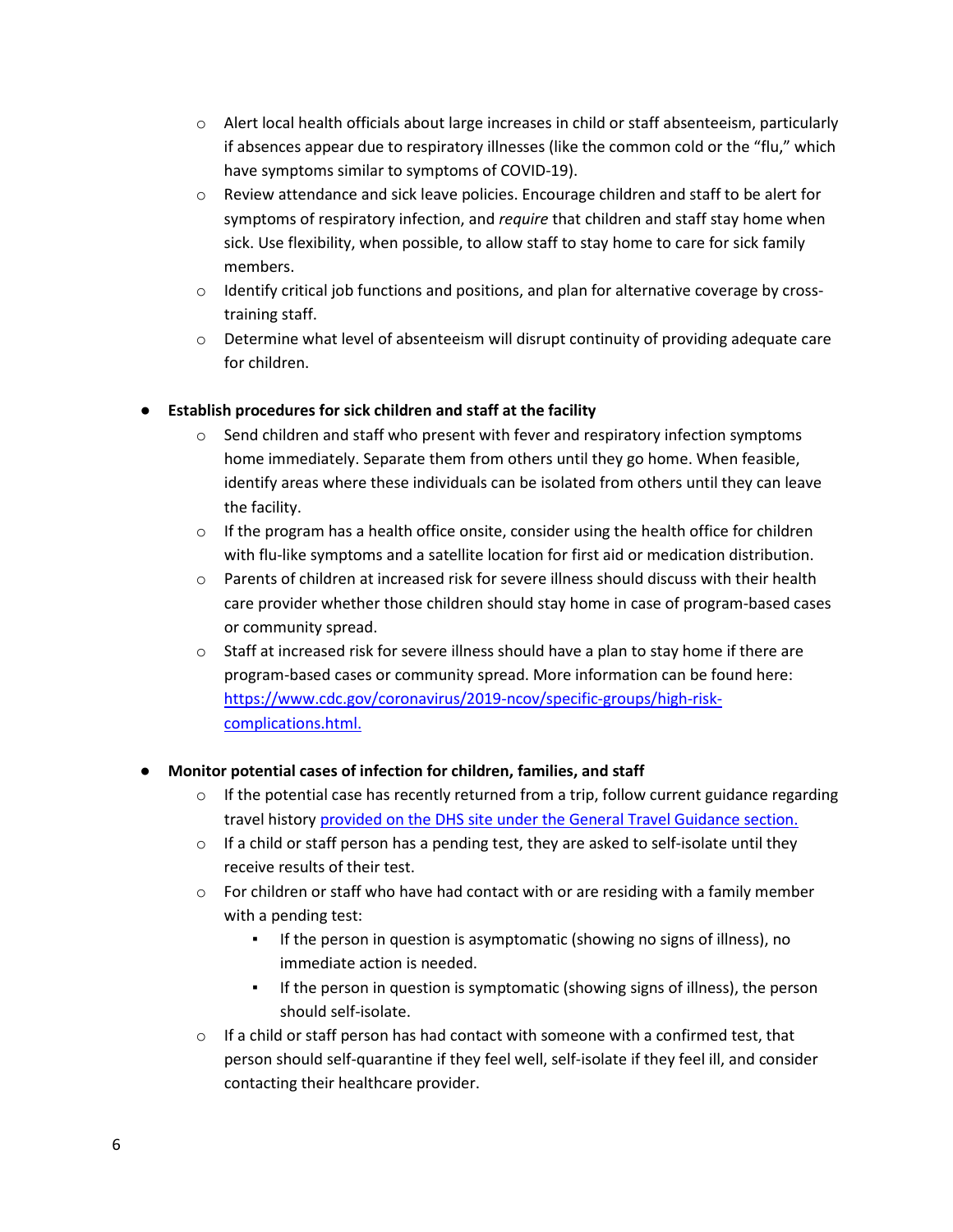- $\circ$  Alert local health officials about large increases in child or staff absenteeism, particularly if absences appear due to respiratory illnesses (like the common cold or the "flu," which have symptoms similar to symptoms of COVID-19).
- o Review attendance and sick leave policies. Encourage children and staff to be alert for symptoms of respiratory infection, and *require* that children and staff stay home when sick. Use flexibility, when possible, to allow staff to stay home to care for sick family members.
- $\circ$  Identify critical job functions and positions, and plan for alternative coverage by crosstraining staff.
- $\circ$  Determine what level of absenteeism will disrupt continuity of providing adequate care for children.

# **Establish procedures for sick children and staff at the facility**

- $\circ$  Send children and staff who present with fever and respiratory infection symptoms home immediately. Separate them from others until they go home. When feasible, identify areas where these individuals can be isolated from others until they can leave the facility.
- $\circ$  If the program has a health office onsite, consider using the health office for children with flu-like symptoms and a satellite location for first aid or medication distribution.
- $\circ$  Parents of children at increased risk for severe illness should discuss with their health care provider whether those children should stay home in case of program-based cases or community spread.
- $\circ$  Staff at increased risk for severe illness should have a plan to stay home if there are program-based cases or community spread. More information can be found here: [https://www.cdc.gov/coronavirus/2019-ncov/specific-groups/high-risk](https://www.cdc.gov/coronavirus/2019-ncov/specific-groups/high-risk-complications.html)[complications.html.](https://www.cdc.gov/coronavirus/2019-ncov/specific-groups/high-risk-complications.html)

# ● **Monitor potential cases of infection for children, families, and staff**

- $\circ$  If the potential case has recently returned from a trip, follow current guidance regarding travel histor[y provided on the DHS site under the General Travel Guidance section.](https://www.dhs.wisconsin.gov/covid-19)
- $\circ$  If a child or staff person has a pending test, they are asked to self-isolate until they receive results of their test.
- $\circ$  For children or staff who have had contact with or are residing with a family member with a pending test:
	- If the person in question is asymptomatic (showing no signs of illness), no immediate action is needed.
	- If the person in question is symptomatic (showing signs of illness), the person should self-isolate.
- $\circ$  If a child or staff person has had contact with someone with a confirmed test, that person should self-quarantine if they feel well, self-isolate if they feel ill, and consider contacting their healthcare provider.